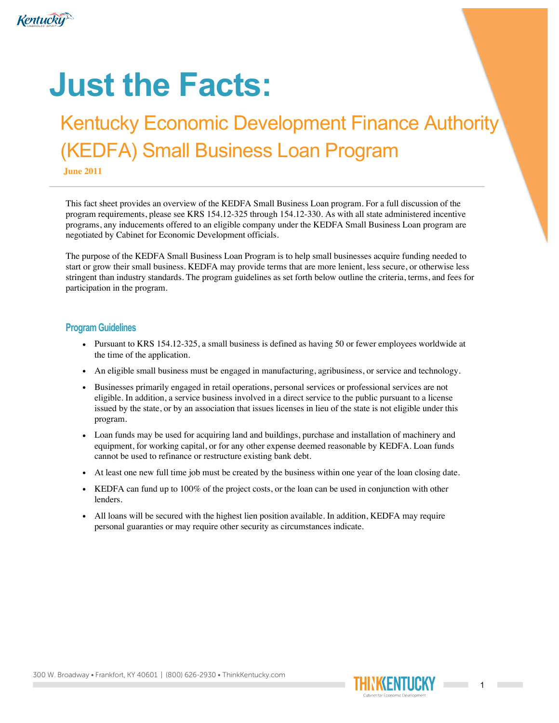

# **Just the Facts:**

## Kentucky Economic Development Finance Authority (KEDFA) Small Business Loan Program

**June 2011**

This fact sheet provides an overview of the KEDFA Small Business Loan program. For a full discussion of the program requirements, please see KRS 154.12-325 through 154.12-330. As with all state administered incentive programs, any inducements offered to an eligible company under the KEDFA Small Business Loan program are negotiated by Cabinet for Economic Development officials.

The purpose of the KEDFA Small Business Loan Program is to help small businesses acquire funding needed to start or grow their small business. KEDFA may provide terms that are more lenient, less secure, or otherwise less stringent than industry standards. The program guidelines as set forth below outline the criteria, terms, and fees for participation in the program.

#### **Program Guidelines**

- Pursuant to KRS 154.12-325, a small business is defined as having 50 or fewer employees worldwide at the time of the application.
- An eligible small business must be engaged in manufacturing, agribusiness, or service and technology.
- Businesses primarily engaged in retail operations, personal services or professional services are not eligible. In addition, a service business involved in a direct service to the public pursuant to a license issued by the state, or by an association that issues licenses in lieu of the state is not eligible under this program.
- Loan funds may be used for acquiring land and buildings, purchase and installation of machinery and equipment, for working capital, or for any other expense deemed reasonable by KEDFA. Loan funds cannot be used to refinance or restructure existing bank debt.
- At least one new full time job must be created by the business within one year of the loan closing date.
- KEDFA can fund up to 100% of the project costs, or the loan can be used in conjunction with other lenders.
- All loans will be secured with the highest lien position available. In addition, KEDFA may require personal guaranties or may require other security as circumstances indicate.